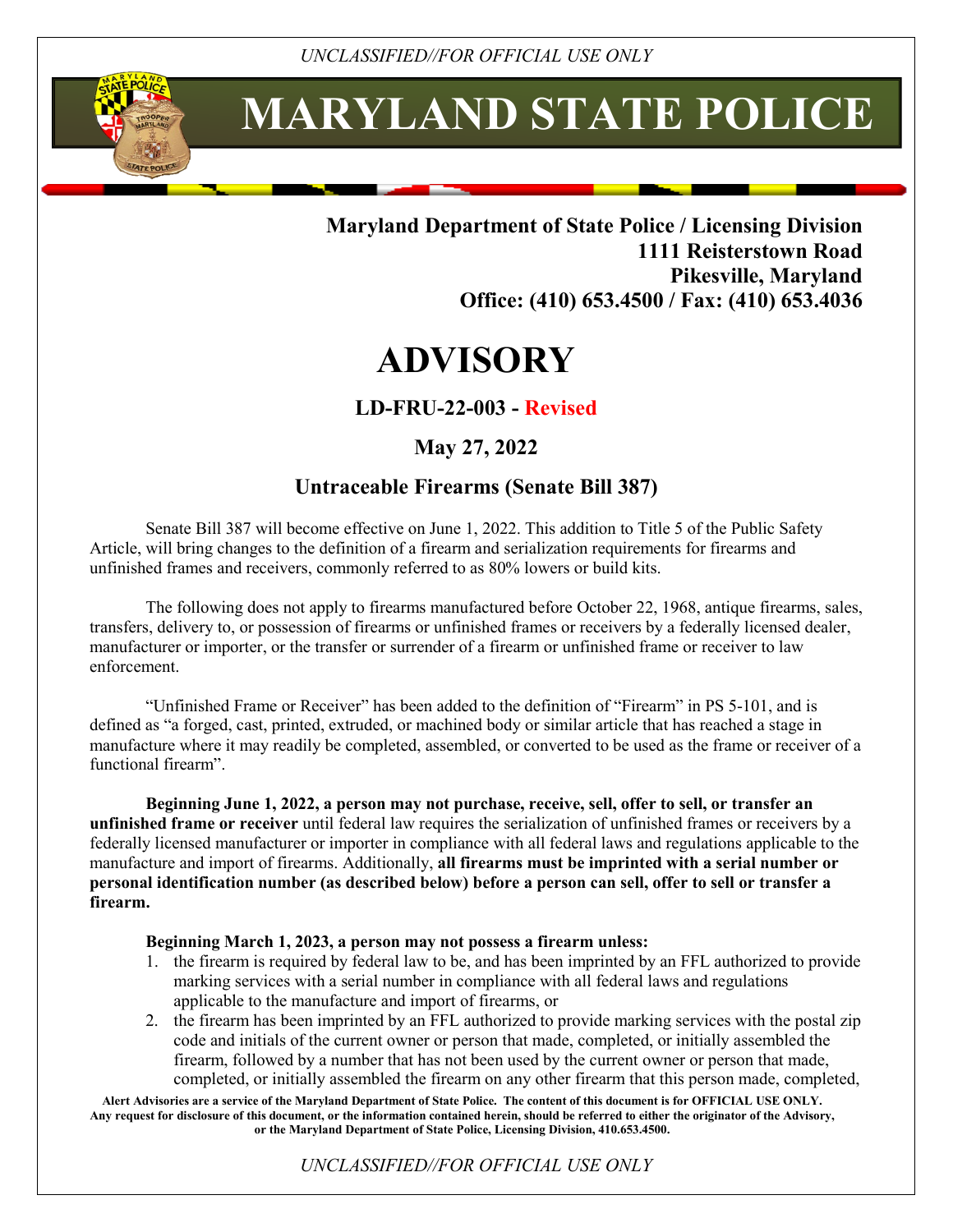í

# **MARYLAND STATE POLICE**

### **Maryland Department of State Police / Licensing Division 1111 Reisterstown Road Pikesville, Maryland Office: (410) 653.4500 / Fax: (410) 653.4036**

## **ADVISORY**

#### **LD-FRU-22-003 - Revised**

#### **May 27, 2022**

#### **Untraceable Firearms (Senate Bill 387)**

Senate Bill 387 will become effective on June 1, 2022. This addition to Title 5 of the Public Safety Article, will bring changes to the definition of a firearm and serialization requirements for firearms and unfinished frames and receivers, commonly referred to as 80% lowers or build kits.

The following does not apply to firearms manufactured before October 22, 1968, antique firearms, sales, transfers, delivery to, or possession of firearms or unfinished frames or receivers by a federally licensed dealer, manufacturer or importer, or the transfer or surrender of a firearm or unfinished frame or receiver to law enforcement.

"Unfinished Frame or Receiver" has been added to the definition of "Firearm" in PS 5-101, and is defined as "a forged, cast, printed, extruded, or machined body or similar article that has reached a stage in manufacture where it may readily be completed, assembled, or converted to be used as the frame or receiver of a functional firearm".

**Beginning June 1, 2022, a person may not purchase, receive, sell, offer to sell, or transfer an unfinished frame or receiver** until federal law requires the serialization of unfinished frames or receivers by a federally licensed manufacturer or importer in compliance with all federal laws and regulations applicable to the manufacture and import of firearms. Additionally, **all firearms must be imprinted with a serial number or personal identification number (as described below) before a person can sell, offer to sell or transfer a firearm.**

#### **Beginning March 1, 2023, a person may not possess a firearm unless:**

- 1. the firearm is required by federal law to be, and has been imprinted by an FFL authorized to provide marking services with a serial number in compliance with all federal laws and regulations applicable to the manufacture and import of firearms, or
- 2. the firearm has been imprinted by an FFL authorized to provide marking services with the postal zip code and initials of the current owner or person that made, completed, or initially assembled the firearm, followed by a number that has not been used by the current owner or person that made, completed, or initially assembled the firearm on any other firearm that this person made, completed,

**Alert Advisories are a service of the Maryland Department of State Police. The content of this document is for OFFICIAL USE ONLY. Any request for disclosure of this document, or the information contained herein, should be referred to either the originator of the Advisory, or the Maryland Department of State Police, Licensing Division, 410.653.4500.**

*UNCLASSIFIED//FOR OFFICIAL USE ONLY*